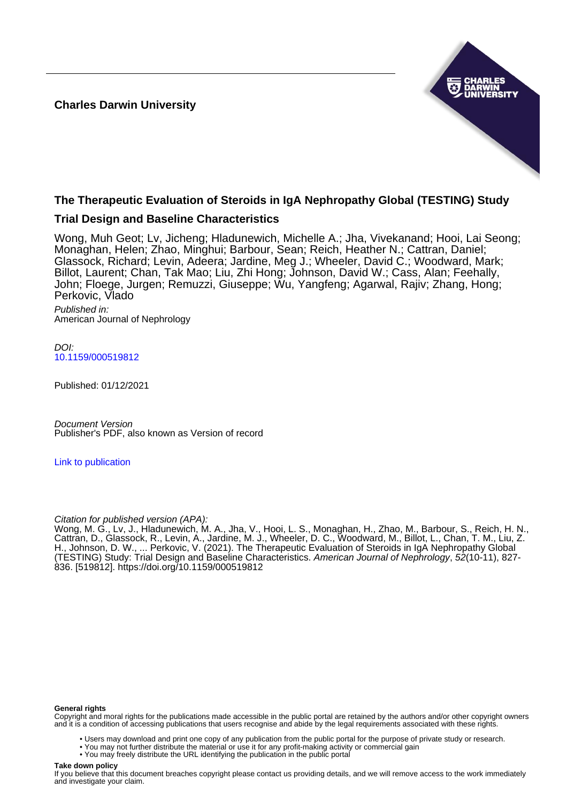**Charles Darwin University**



# **The Therapeutic Evaluation of Steroids in IgA Nephropathy Global (TESTING) Study**

# **Trial Design and Baseline Characteristics**

Wong, Muh Geot; Lv, Jicheng; Hladunewich, Michelle A.; Jha, Vivekanand; Hooi, Lai Seong; Monaghan, Helen; Zhao, Minghui; Barbour, Sean; Reich, Heather N.; Cattran, Daniel; Glassock, Richard; Levin, Adeera; Jardine, Meg J.; Wheeler, David C.; Woodward, Mark; Billot, Laurent; Chan, Tak Mao; Liu, Zhi Hong; Johnson, David W.; Cass, Alan; Feehally, John; Floege, Jurgen; Remuzzi, Giuseppe; Wu, Yangfeng; Agarwal, Rajiv; Zhang, Hong; Perkovic, Vlado

Published in: American Journal of Nephrology

DOI: [10.1159/000519812](https://doi.org/10.1159/000519812)

Published: 01/12/2021

Document Version Publisher's PDF, also known as Version of record

[Link to publication](https://researchers.cdu.edu.au/en/publications/9c5c6cf1-d8de-4513-b143-287135cfa76b)

Citation for published version (APA):

Wong, M. G., Lv, J., Hladunewich, M. A., Jha, V., Hooi, L. S., Monaghan, H., Zhao, M., Barbour, S., Reich, H. N., Cattran, D., Glassock, R., Levin, A., Jardine, M. J., Wheeler, D. C., Woodward, M., Billot, L., Chan, T. M., Liu, Z. H., Johnson, D. W., ... Perkovic, V. (2021). The Therapeutic Evaluation of Steroids in IgA Nephropathy Global (TESTING) Study: Trial Design and Baseline Characteristics. American Journal of Nephrology, 52(10-11), 827- 836. [519812]. <https://doi.org/10.1159/000519812>

#### **General rights**

Copyright and moral rights for the publications made accessible in the public portal are retained by the authors and/or other copyright owners and it is a condition of accessing publications that users recognise and abide by the legal requirements associated with these rights.

- Users may download and print one copy of any publication from the public portal for the purpose of private study or research.
- You may not further distribute the material or use it for any profit-making activity or commercial gain
	- You may freely distribute the URL identifying the publication in the public portal

#### **Take down policy**

If you believe that this document breaches copyright please contact us providing details, and we will remove access to the work immediately and investigate your claim.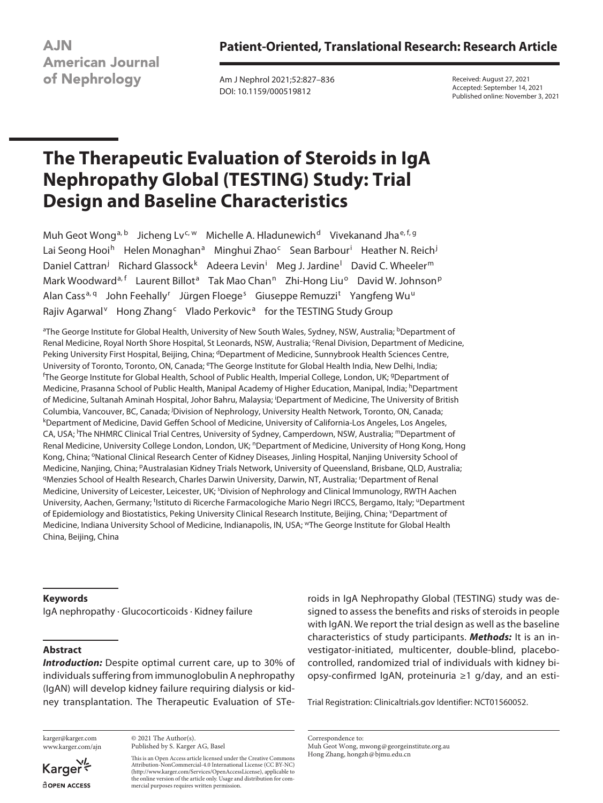**Patient-Oriented, Translational Research: Research Article**

**AJN American Journal** of Nephrology

Am J Nephrol 2021;52:827–836 DOI: 10.1159/000519812

Received: August 27, 2021 Accepted: September 14, 2021 Published online: November 3, 2021

# **The Therapeutic Evaluation of Steroids in IgA Nephropathy Global (TESTING) Study: Trial Design and Baseline Characteristics**

Muh Geot Wong<sup>a, b</sup> Jicheng Ly<sup>c, w</sup> Michelle A. Hladunewich<sup>d</sup> Vivekanand Jha<sup>e, f, g</sup> Lai Seong Hooi<sup>h</sup> Helen Monaghan<sup>a</sup> Minghui Zhao<sup>c</sup> Sean Barbour<sup>i</sup> Heather N. Reich<sup>j</sup> Daniel Cattran<sup>j</sup> Richard Glassock<sup>k</sup> Adeera Levin<sup>i</sup> Meg J. Jardine<sup>l</sup> David C. Wheeler<sup>m</sup> Mark Woodward<sup>a, f</sup> Laurent Billot<sup>a</sup> Tak Mao Chan<sup>n</sup> Zhi-Hong Liu<sup>o</sup> David W. Johnson<sup>p</sup> Alan Cass<sup>a, q</sup> John Feehally<sup>r</sup> Jürgen Floege<sup>s</sup> Giuseppe Remuzzi<sup>t</sup> Yangfeng Wu<sup>u</sup> Rajiv Agarwal<sup>v</sup> Hong Zhang<sup>c</sup> Vlado Perkovic<sup>a</sup> for the TESTING Study Group

<sup>a</sup>The George Institute for Global Health, University of New South Wales, Sydney, NSW, Australia; <sup>b</sup>Department of Renal Medicine, Royal North Shore Hospital, St Leonards, NSW, Australia; <sup>c</sup>Renal Division, Department of Medicine, Peking University First Hospital, Beijing, China; <sup>d</sup>Department of Medicine, Sunnybrook Health Sciences Centre, University of Toronto, Toronto, ON, Canada; <sup>e</sup>The George Institute for Global Health India, New Delhi, India; The George Institute for Global Health, School of Public Health, Imperial College, London, UK; <sup>g</sup>Department of Medicine, Prasanna School of Public Health, Manipal Academy of Higher Education, Manipal, India; hDepartment of Medicine, Sultanah Aminah Hospital, Johor Bahru, Malaysia; <sup>i</sup> Department of Medicine, The University of British Columbia, Vancouver, BC, Canada; <sup>j</sup>Division of Nephrology, University Health Network, Toronto, ON, Canada;<br><sup>k</sup>Denartment of Medicine, David Geffen School of Medicine, University of California-Los Angeles, Los Angeles Department of Medicine, David Geffen School of Medicine, University of California-Los Angeles, Los Angeles, CA, USA; <sup>I</sup>The NHMRC Clinical Trial Centres, University of Sydney, Camperdown, NSW, Australia; <sup>m</sup>Department of Renal Medicine, University College London, London, UK; <sup>n</sup>Department of Medicine, University of Hong Kong, Hong Kong, China; <sup>o</sup>National Clinical Research Center of Kidney Diseases, Jinling Hospital, Nanjing University School of Medicine, Nanjing, China; <sup>p</sup>Australasian Kidney Trials Network, University of Queensland, Brisbane, QLD, Australia;<br><sup>q</sup>Menzies School of Health Research, Charles Darwin University, Darwin, NT, Australia; 'Department of Re Medicine, University of Leicester, Leicester, UK; <sup>s</sup>Division of Nephrology and Clinical Immunology, RWTH Aachen University, Aachen, Germany; <sup>t</sup>Istituto di Ricerche Farmacologiche Mario Negri IRCCS, Bergamo, Italy; <sup>u</sup>Department of Epidemiology and Biostatistics, Peking University Clinical Research Institute, Beijing, China; YDepartment of Medicine, Indiana University School of Medicine, Indianapolis, IN, USA; wThe George Institute for Global Health China, Beijing, China

#### **Keywords**

IgA nephropathy · Glucocorticoids · Kidney failure

# **Abstract**

*Introduction:* Despite optimal current care, up to 30% of individuals suffering from immunoglobulin A nephropathy (IgAN) will develop kidney failure requiring dialysis or kidney transplantation. The Therapeutic Evaluation of STe-

karger@karger.com www.karger.com/ajn

Karger dopen Access

© 2021 The Author(s). Published by S. Karger AG, Basel

This is an Open Access article licensed under the Creative Commons Attribution-NonCommercial-4.0 International License (CC BY-NC) (http://www.karger.com/Services/OpenAccessLicense), applicable to the online version of the article only. Usage and distribution for commercial purposes requires written permission.

roids in IgA Nephropathy Global (TESTING) study was designed to assess the benefits and risks of steroids in people with IgAN. We report the trial design as well as the baseline characteristics of study participants. *Methods:* It is an investigator-initiated, multicenter, double-blind, placebocontrolled, randomized trial of individuals with kidney biopsy-confirmed IgAN, proteinuria ≥1 g/day, and an esti-

Trial Registration: Clinicaltrials.gov Identifier: NCT01560052.

Correspondence to: Muh Geot Wong, mwong@georgeinstitute.org.au Hong Zhang, hongzh@bjmu.edu.cn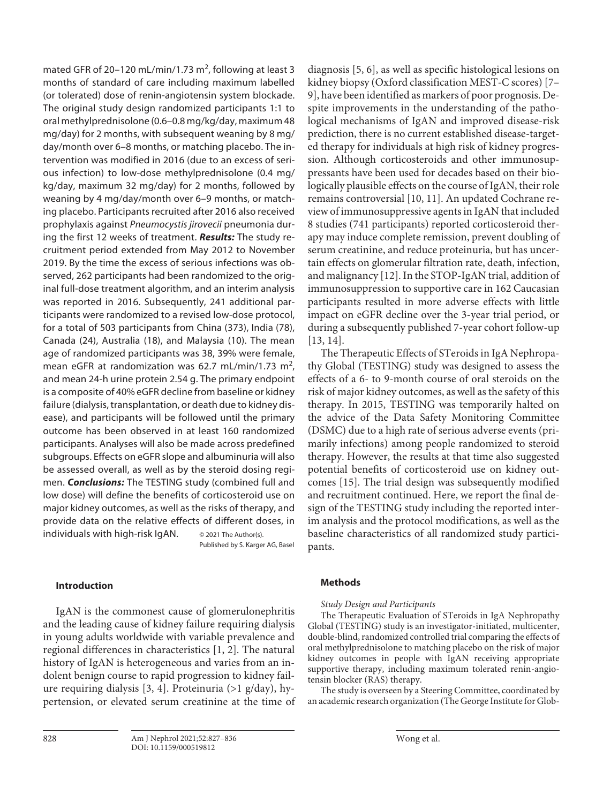mated GFR of 20–120 mL/min/1.73 m<sup>2</sup>, following at least 3 months of standard of care including maximum labelled (or tolerated) dose of renin-angiotensin system blockade. The original study design randomized participants 1:1 to oral methylprednisolone (0.6–0.8 mg/kg/day, maximum 48 mg/day) for 2 months, with subsequent weaning by 8 mg/ day/month over 6–8 months, or matching placebo. The intervention was modified in 2016 (due to an excess of serious infection) to low-dose methylprednisolone (0.4 mg/ kg/day, maximum 32 mg/day) for 2 months, followed by weaning by 4 mg/day/month over 6–9 months, or matching placebo. Participants recruited after 2016 also received prophylaxis against *Pneumocystis jirovecii* pneumonia during the first 12 weeks of treatment. *Results:* The study recruitment period extended from May 2012 to November 2019. By the time the excess of serious infections was observed, 262 participants had been randomized to the original full-dose treatment algorithm, and an interim analysis was reported in 2016. Subsequently, 241 additional participants were randomized to a revised low-dose protocol, for a total of 503 participants from China (373), India (78), Canada (24), Australia (18), and Malaysia (10). The mean age of randomized participants was 38, 39% were female, mean eGFR at randomization was 62.7 mL/min/1.73 m<sup>2</sup>, and mean 24-h urine protein 2.54 g. The primary endpoint is a composite of 40% eGFR decline from baseline or kidney failure (dialysis, transplantation, or death due to kidney disease), and participants will be followed until the primary outcome has been observed in at least 160 randomized participants. Analyses will also be made across predefined subgroups. Effects on eGFR slope and albuminuria will also be assessed overall, as well as by the steroid dosing regimen. *Conclusions:* The TESTING study (combined full and low dose) will define the benefits of corticosteroid use on major kidney outcomes, as well as the risks of therapy, and provide data on the relative effects of different doses, in individuals with high-risk IgAN. © 2021 The Author(s).

Published by S. Karger AG, Basel

# **Introduction**

<span id="page-2-1"></span><span id="page-2-0"></span>IgAN is the commonest cause of glomerulonephritis and the leading cause of kidney failure requiring dialysis in young adults worldwide with variable prevalence and regional differences in characteristics [\[1](#page-10-0), [2](#page-10-1)]. The natural history of IgAN is heterogeneous and varies from an indolent benign course to rapid progression to kidney failure requiring dialysis [\[3,](#page-10-2) [4\]](#page-10-3). Proteinuria (>1 g/day), hypertension, or elevated serum creatinine at the time of <span id="page-2-4"></span><span id="page-2-3"></span><span id="page-2-2"></span>diagnosis [[5](#page-10-4), [6](#page-10-5)], as well as specific histological lesions on kidney biopsy (Oxford classification MEST-C scores) [[7](#page-10-6)– [9](#page-10-7)], have been identified as markers of poor prognosis. Despite improvements in the understanding of the pathological mechanisms of IgAN and improved disease-risk prediction, there is no current established disease-targeted therapy for individuals at high risk of kidney progression. Although corticosteroids and other immunosuppressants have been used for decades based on their biologically plausible effects on the course of IgAN, their role remains controversial [[1](#page-10-0)0, [11\]](#page-10-0). An updated Cochrane review of immunosuppressive agents in IgAN that included 8 studies (741 participants) reported corticosteroid therapy may induce complete remission, prevent doubling of serum creatinine, and reduce proteinuria, but has uncertain effects on glomerular filtration rate, death, infection, and malignancy [\[1](#page-10-0)[2\]](#page-10-1). In the STOP-IgAN trial, addition of immunosuppression to supportive care in 162 Caucasian participants resulted in more adverse effects with little impact on eGFR decline over the 3-year trial period, or during a subsequently published 7-year cohort follow-up [[1](#page-10-0)[3](#page-10-2), [1](#page-10-0)[4\]](#page-10-3).

<span id="page-2-6"></span><span id="page-2-5"></span>The Therapeutic Effects of STeroids in IgA Nephropathy Global (TESTING) study was designed to assess the effects of a 6- to 9-month course of oral steroids on the risk of major kidney outcomes, as well as the safety of this therapy. In 2015, TESTING was temporarily halted on the advice of the Data Safety Monitoring Committee (DSMC) due to a high rate of serious adverse events (primarily infections) among people randomized to steroid therapy. However, the results at that time also suggested potential benefits of corticosteroid use on kidney outcomes [[1](#page-10-0)[5\]](#page-10-4). The trial design was subsequently modified and recruitment continued. Here, we report the final design of the TESTING study including the reported interim analysis and the protocol modifications, as well as the baseline characteristics of all randomized study participants.

#### <span id="page-2-7"></span>**Methods**

#### *Study Design and Participants*

The Therapeutic Evaluation of STeroids in IgA Nephropathy Global (TESTING) study is an investigator-initiated, multicenter, double-blind, randomized controlled trial comparing the effects of oral methylprednisolone to matching placebo on the risk of major kidney outcomes in people with IgAN receiving appropriate supportive therapy, including maximum tolerated renin-angiotensin blocker (RAS) therapy.

The study is overseen by a Steering Committee, coordinated by an academic research organization (The George Institute for Glob-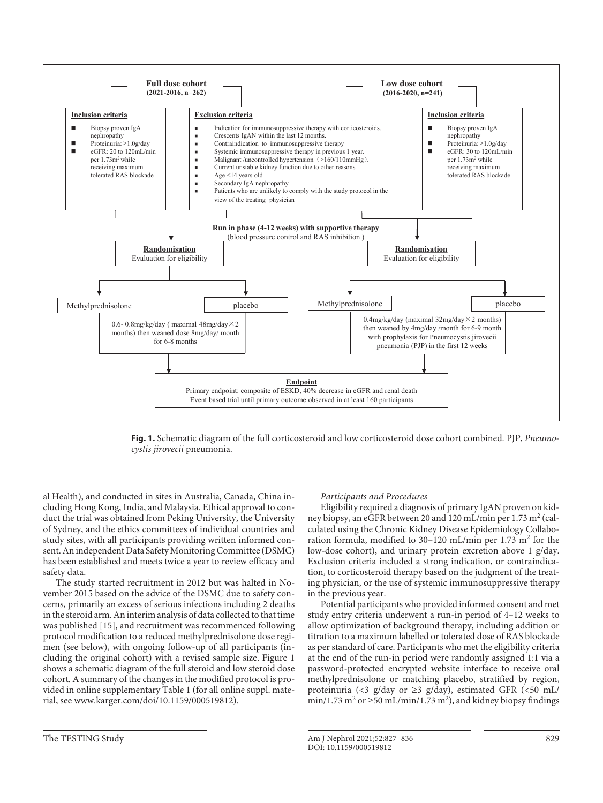

**Fig. 1.** Schematic diagram of the full corticosteroid and low corticosteroid dose cohort combined. PJP, *Pneumocystis jirovecii* pneumonia.

al Health), and conducted in sites in Australia, Canada, China including Hong Kong, India, and Malaysia. Ethical approval to conduct the trial was obtained from Peking University, the University of Sydney, and the ethics committees of individual countries and study sites, with all participants providing written informed consent. An independent Data Safety Monitoring Committee (DSMC) has been established and meets twice a year to review efficacy and safety data.

The study started recruitment in 2012 but was halted in November 2015 based on the advice of the DSMC due to safety concerns, primarily an excess of serious infections including 2 deaths in the steroid arm. An interim analysis of data collected to that time was published [[1](#page-10-0)[5\]](#page-10-4), and recruitment was recommenced following protocol modification to a reduced methylprednisolone dose regimen (see below), with ongoing follow-up of all participants (including the original cohort) with a revised sample size. Figure 1 shows a schematic diagram of the full steroid and low steroid dose cohort. A summary of the changes in the modified protocol is provided in online supplementary Table 1 (for all online suppl. material, see www.karger.com/doi/10.1159/000519812).

#### *Participants and Procedures*

Eligibility required a diagnosis of primary IgAN proven on kidney biopsy, an eGFR between 20 and 120 mL/min per 1.73 m<sup>2</sup> (calculated using the Chronic Kidney Disease Epidemiology Collaboration formula, modified to 30-120 mL/min per 1.73 m<sup>2</sup> for the low-dose cohort), and urinary protein excretion above 1 g/day. Exclusion criteria included a strong indication, or contraindication, to corticosteroid therapy based on the judgment of the treating physician, or the use of systemic immunosuppressive therapy in the previous year.

Potential participants who provided informed consent and met study entry criteria underwent a run-in period of 4–12 weeks to allow optimization of background therapy, including addition or titration to a maximum labelled or tolerated dose of RAS blockade as per standard of care. Participants who met the eligibility criteria at the end of the run-in period were randomly assigned 1:1 via a password-protected encrypted website interface to receive oral methylprednisolone or matching placebo, stratified by region, proteinuria (<3 g/day or ≥3 g/day), estimated GFR (<50 mL/ min/1.73 m<sup>2</sup> or  $\geq$ 50 mL/min/1.73 m<sup>2</sup>), and kidney biopsy findings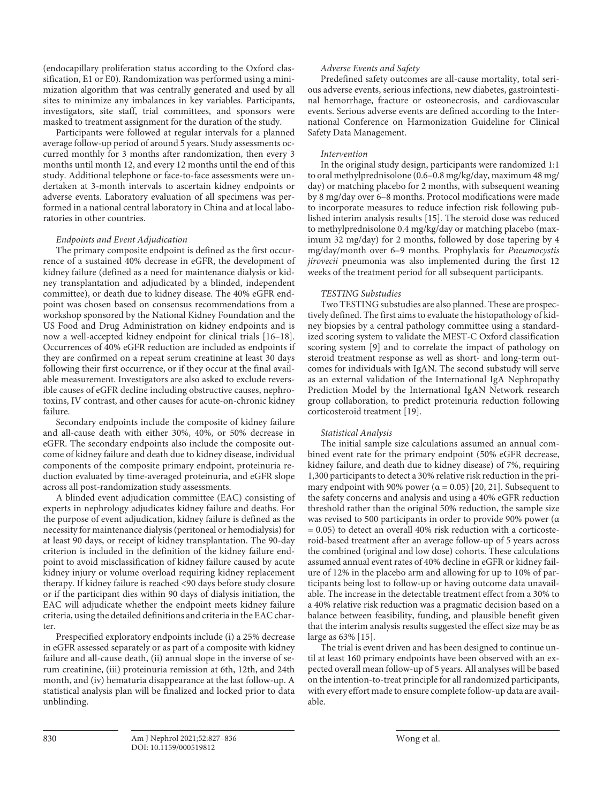(endocapillary proliferation status according to the Oxford classification, E1 or E0). Randomization was performed using a minimization algorithm that was centrally generated and used by all sites to minimize any imbalances in key variables. Participants, investigators, site staff, trial committees, and sponsors were masked to treatment assignment for the duration of the study.

Participants were followed at regular intervals for a planned average follow-up period of around 5 years. Study assessments occurred monthly for 3 months after randomization, then every 3 months until month 12, and every 12 months until the end of this study. Additional telephone or face-to-face assessments were undertaken at 3-month intervals to ascertain kidney endpoints or adverse events. Laboratory evaluation of all specimens was performed in a national central laboratory in China and at local laboratories in other countries.

#### *Endpoints and Event Adjudication*

<span id="page-4-0"></span>The primary composite endpoint is defined as the first occurrence of a sustained 40% decrease in eGFR, the development of kidney failure (defined as a need for maintenance dialysis or kidney transplantation and adjudicated by a blinded, independent committee), or death due to kidney disease. The 40% eGFR endpoint was chosen based on consensus recommendations from a workshop sponsored by the National Kidney Foundation and the US Food and Drug Administration on kidney endpoints and is now a well-accepted kidney endpoint for clinical trials [[1](#page-10-0)[6–](#page-10-5)[1](#page-10-0)[8\]](#page-10-8). Occurrences of 40% eGFR reduction are included as endpoints if they are confirmed on a repeat serum creatinine at least 30 days following their first occurrence, or if they occur at the final available measurement. Investigators are also asked to exclude reversible causes of eGFR decline including obstructive causes, nephrotoxins, IV contrast, and other causes for acute-on-chronic kidney failure.

Secondary endpoints include the composite of kidney failure and all-cause death with either 30%, 40%, or 50% decrease in eGFR. The secondary endpoints also include the composite outcome of kidney failure and death due to kidney disease, individual components of the composite primary endpoint, proteinuria reduction evaluated by time-averaged proteinuria, and eGFR slope across all post-randomization study assessments.

A blinded event adjudication committee (EAC) consisting of experts in nephrology adjudicates kidney failure and deaths. For the purpose of event adjudication, kidney failure is defined as the necessity for maintenance dialysis (peritoneal or hemodialysis) for at least 90 days, or receipt of kidney transplantation. The 90-day criterion is included in the definition of the kidney failure endpoint to avoid misclassification of kidney failure caused by acute kidney injury or volume overload requiring kidney replacement therapy. If kidney failure is reached <90 days before study closure or if the participant dies within 90 days of dialysis initiation, the EAC will adjudicate whether the endpoint meets kidney failure criteria, using the detailed definitions and criteria in the EAC charter.

Prespecified exploratory endpoints include (i) a 25% decrease in eGFR assessed separately or as part of a composite with kidney failure and all-cause death, (ii) annual slope in the inverse of serum creatinine, (iii) proteinuria remission at 6th, 12th, and 24th month, and (iv) hematuria disappearance at the last follow-up. A statistical analysis plan will be finalized and locked prior to data unblinding.

# *Adverse Events and Safety*

Predefined safety outcomes are all-cause mortality, total serious adverse events, serious infections, new diabetes, gastrointestinal hemorrhage, fracture or osteonecrosis, and cardiovascular events. Serious adverse events are defined according to the International Conference on Harmonization Guideline for Clinical Safety Data Management.

#### *Intervention*

In the original study design, participants were randomized 1:1 to oral methylprednisolone (0.6–0.8 mg/kg/day, maximum 48 mg/ day) or matching placebo for 2 months, with subsequent weaning by 8 mg/day over 6–8 months. Protocol modifications were made to incorporate measures to reduce infection risk following published interim analysis results [[1](#page-10-0)[5\]](#page-10-4). The steroid dose was reduced to methylprednisolone 0.4 mg/kg/day or matching placebo (maximum 32 mg/day) for 2 months, followed by dose tapering by 4 mg/day/month over 6–9 months. Prophylaxis for *Pneumocystis jirovecii* pneumonia was also implemented during the first 12 weeks of the treatment period for all subsequent participants.

#### *TESTING Substudies*

Two TESTING substudies are also planned. These are prospectively defined. The first aims to evaluate the histopathology of kidney biopsies by a central pathology committee using a standardized scoring system to validate the MEST-C Oxford classification scoring system [\[9\]](#page-10-7) and to correlate the impact of pathology on steroid treatment response as well as short- and long-term outcomes for individuals with IgAN. The second substudy will serve as an external validation of the International IgA Nephropathy Prediction Model by the International IgAN Network research group collaboration, to predict proteinuria reduction following corticosteroid treatment [\[1](#page-10-0)[9](#page-10-7)].

#### *Statistical Analysis*

The initial sample size calculations assumed an annual combined event rate for the primary endpoint (50% eGFR decrease, kidney failure, and death due to kidney disease) of 7%, requiring 1,300 participants to detect a 30% relative risk reduction in the primary endpoint with 90% power ( $\alpha$  = 0.05) [[2](#page-10-1)0, [2](#page-10-1)[1](#page-10-0)]. Subsequent to the safety concerns and analysis and using a 40% eGFR reduction threshold rather than the original 50% reduction, the sample size was revised to 500 participants in order to provide 90% power (α  $= 0.05$ ) to detect an overall 40% risk reduction with a corticosteroid-based treatment after an average follow-up of 5 years across the combined (original and low dose) cohorts. These calculations assumed annual event rates of 40% decline in eGFR or kidney failure of 12% in the placebo arm and allowing for up to 10% of participants being lost to follow-up or having outcome data unavailable. The increase in the detectable treatment effect from a 30% to a 40% relative risk reduction was a pragmatic decision based on a balance between feasibility, funding, and plausible benefit given that the interim analysis results suggested the effect size may be as large as 63% [\[1](#page-10-0)[5](#page-10-4)].

The trial is event driven and has been designed to continue until at least 160 primary endpoints have been observed with an expected overall mean follow-up of 5 years. All analyses will be based on the intention-to-treat principle for all randomized participants, with every effort made to ensure complete follow-up data are available.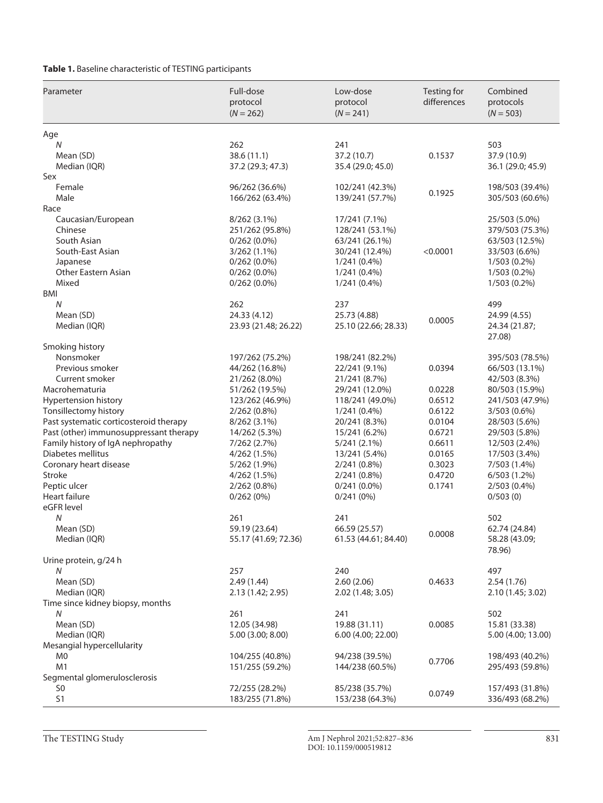**Table 1.** Baseline characteristic of TESTING participants

| Parameter                              | Full-dose<br>protocol<br>$(N = 262)$ | Low-dose<br>protocol<br>$(N = 241)$ | Testing for<br>differences | Combined<br>protocols<br>$(N = 503)$ |
|----------------------------------------|--------------------------------------|-------------------------------------|----------------------------|--------------------------------------|
| Age                                    |                                      |                                     |                            |                                      |
| N                                      | 262                                  | 241                                 |                            | 503                                  |
| Mean (SD)                              | 38.6(11.1)                           | 37.2 (10.7)                         | 0.1537                     | 37.9 (10.9)                          |
| Median (IQR)                           | 37.2 (29.3; 47.3)                    | 35.4 (29.0; 45.0)                   |                            | 36.1 (29.0; 45.9)                    |
| Sex                                    |                                      |                                     |                            |                                      |
| Female                                 | 96/262 (36.6%)                       | 102/241 (42.3%)                     | 0.1925                     | 198/503 (39.4%)                      |
| Male                                   | 166/262 (63.4%)                      | 139/241 (57.7%)                     |                            | 305/503 (60.6%)                      |
| Race                                   |                                      |                                     |                            |                                      |
| Caucasian/European                     | 8/262 (3.1%)                         | 17/241 (7.1%)                       |                            | 25/503 (5.0%)                        |
| Chinese                                | 251/262 (95.8%)                      | 128/241 (53.1%)                     |                            | 379/503 (75.3%)                      |
| South Asian                            | $0/262(0.0\%)$                       | 63/241 (26.1%)                      |                            | 63/503 (12.5%)                       |
| South-East Asian<br>Japanese           | $3/262(1.1\%)$                       | 30/241 (12.4%)<br>$1/241(0.4\%)$    | < 0.0001                   | 33/503 (6.6%)                        |
| <b>Other Eastern Asian</b>             | $0/262(0.0\%)$<br>$0/262(0.0\%)$     | $1/241(0.4\%)$                      |                            | 1/503 (0.2%)<br>$1/503(0.2\%)$       |
| Mixed                                  | $0/262(0.0\%)$                       | $1/241(0.4\%)$                      |                            | $1/503(0.2\%)$                       |
| BMI                                    |                                      |                                     |                            |                                      |
| N                                      | 262                                  | 237                                 |                            | 499                                  |
| Mean (SD)                              | 24.33 (4.12)                         | 25.73 (4.88)                        |                            | 24.99 (4.55)                         |
| Median (IQR)                           | 23.93 (21.48; 26.22)                 | 25.10 (22.66; 28.33)                | 0.0005                     | 24.34 (21.87;                        |
|                                        |                                      |                                     |                            | 27.08)                               |
| Smoking history                        |                                      |                                     |                            |                                      |
| Nonsmoker                              | 197/262 (75.2%)                      | 198/241 (82.2%)                     |                            | 395/503 (78.5%)                      |
| Previous smoker                        | 44/262 (16.8%)                       | 22/241 (9.1%)                       | 0.0394                     | 66/503 (13.1%)                       |
| Current smoker                         | 21/262 (8.0%)                        | 21/241 (8.7%)                       |                            | 42/503 (8.3%)                        |
| Macrohematuria                         | 51/262 (19.5%)                       | 29/241 (12.0%)                      | 0.0228                     | 80/503 (15.9%)                       |
| Hypertension history                   | 123/262 (46.9%)                      | 118/241 (49.0%)                     | 0.6512                     | 241/503 (47.9%)                      |
| Tonsillectomy history                  | $2/262(0.8\%)$                       | $1/241(0.4\%)$                      | 0.6122                     | 3/503 (0.6%)                         |
| Past systematic corticosteroid therapy | $8/262(3.1\%)$                       | 20/241 (8.3%)                       | 0.0104                     | 28/503 (5.6%)                        |
| Past (other) immunosuppressant therapy | 14/262 (5.3%)                        | 15/241 (6.2%)                       | 0.6721                     | 29/503 (5.8%)                        |
| Family history of IgA nephropathy      | 7/262 (2.7%)                         | 5/241(2.1%)                         | 0.6611                     | 12/503 (2.4%)                        |
| Diabetes mellitus                      | 4/262 (1.5%)                         | 13/241 (5.4%)                       | 0.0165                     | 17/503 (3.4%)                        |
| Coronary heart disease                 | 5/262 (1.9%)                         | $2/241(0.8\%)$                      | 0.3023                     | 7/503 (1.4%)                         |
| Stroke                                 | 4/262 (1.5%)                         | $2/241(0.8\%)$                      | 0.4720                     | 6/503(1.2%)                          |
| Peptic ulcer                           | $2/262(0.8\%)$                       | $0/241(0.0\%)$                      | 0.1741                     | 2/503 (0.4%)                         |
| <b>Heart failure</b>                   | 0/262(0%)                            | 0/241(0%)                           |                            | 0/503(0)                             |
| eGFR level                             |                                      |                                     |                            |                                      |
| N                                      | 261                                  | 241                                 |                            | 502                                  |
| Mean (SD)                              | 59.19 (23.64)                        | 66.59 (25.57)                       | 0.0008                     | 62.74 (24.84)                        |
| Median (IQR)                           | 55.17 (41.69; 72.36)                 | 61.53 (44.61; 84.40)                |                            | 58.28 (43.09;<br>78.96)              |
| Urine protein, g/24 h                  |                                      |                                     |                            |                                      |
| N                                      | 257                                  | 240                                 |                            | 497                                  |
| Mean (SD)                              | 2.49(1.44)                           | 2.60(2.06)                          | 0.4633                     | 2.54(1.76)                           |
| Median (IQR)                           | 2.13 (1.42; 2.95)                    | 2.02 (1.48; 3.05)                   |                            | 2.10 (1.45; 3.02)                    |
| Time since kidney biopsy, months       |                                      |                                     |                            |                                      |
| N                                      | 261                                  | 241                                 |                            | 502                                  |
| Mean (SD)                              | 12.05 (34.98)                        | 19.88 (31.11)                       | 0.0085                     | 15.81 (33.38)                        |
| Median (IQR)                           | 5.00 (3.00; 8.00)                    | 6.00 (4.00; 22.00)                  |                            | 5.00 (4.00; 13.00)                   |
| Mesangial hypercellularity             |                                      |                                     |                            |                                      |
| M0                                     | 104/255 (40.8%)                      | 94/238 (39.5%)                      |                            | 198/493 (40.2%)                      |
| M <sub>1</sub>                         | 151/255 (59.2%)                      | 144/238 (60.5%)                     | 0.7706                     | 295/493 (59.8%)                      |
| Segmental glomerulosclerosis           |                                      |                                     |                            |                                      |
| S0                                     | 72/255 (28.2%)                       | 85/238 (35.7%)                      | 0.0749                     | 157/493 (31.8%)                      |
| S1                                     | 183/255 (71.8%)                      | 153/238 (64.3%)                     |                            | 336/493 (68.2%)                      |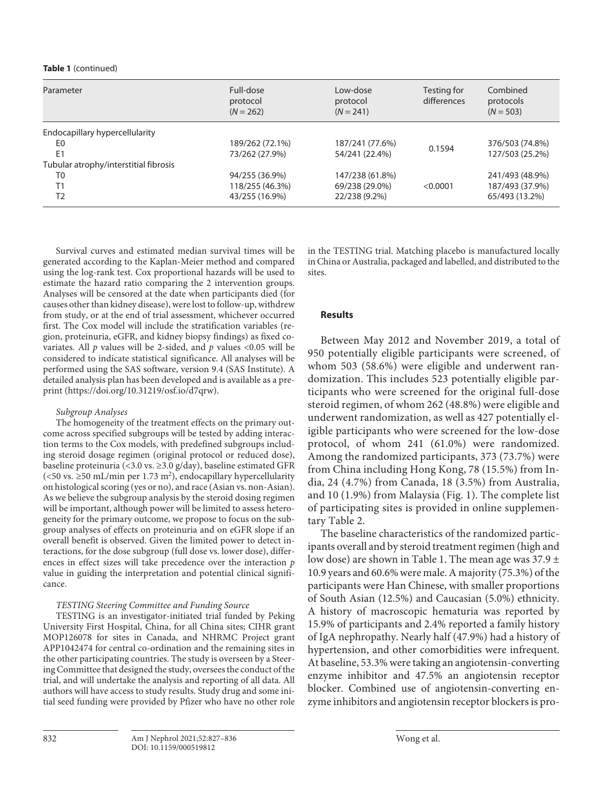#### **Table 1** (continued)

| Parameter                             | Full-dose<br>protocol<br>$(N = 262)$ | Low-dose<br>protocol<br>$(N = 241)$ | Testing for<br>differences | Combined<br>protocols<br>$(N = 503)$ |
|---------------------------------------|--------------------------------------|-------------------------------------|----------------------------|--------------------------------------|
| Endocapillary hypercellularity        |                                      |                                     |                            |                                      |
| E0                                    | 189/262 (72.1%)                      | 187/241 (77.6%)                     |                            | 376/503 (74.8%)                      |
| E <sub>1</sub>                        | 73/262 (27.9%)                       | 54/241 (22.4%)                      | 0.1594                     | 127/503 (25.2%)                      |
| Tubular atrophy/interstitial fibrosis |                                      |                                     |                            |                                      |
| T0                                    | 94/255 (36.9%)                       | 147/238 (61.8%)                     |                            | 241/493 (48.9%)                      |
| T1                                    | 118/255 (46.3%)                      | 69/238 (29.0%)                      | < 0.0001                   | 187/493 (37.9%)                      |
| T <sub>2</sub>                        | 43/255 (16.9%)                       | 22/238 (9.2%)                       |                            | 65/493 (13.2%)                       |

Survival curves and estimated median survival times will be generated according to the Kaplan-Meier method and compared using the log-rank test. Cox proportional hazards will be used to estimate the hazard ratio comparing the 2 intervention groups. Analyses will be censored at the date when participants died (for causes other than kidney disease), were lost to follow-up, withdrew from study, or at the end of trial assessment, whichever occurred first. The Cox model will include the stratification variables (region, proteinuria, eGFR, and kidney biopsy findings) as fixed covariates. All *p* values will be 2-sided, and *p* values <0.05 will be considered to indicate statistical significance. All analyses will be performed using the SAS software, version 9.4 (SAS Institute). A detailed analysis plan has been developed and is available as a preprint (https://doi.org/10.31219/osf.io/d7qrw).

# *Subgroup Analyses*

The homogeneity of the treatment effects on the primary outcome across specified subgroups will be tested by adding interaction terms to the Cox models, with predefined subgroups including steroid dosage regimen (original protocol or reduced dose), baseline proteinuria (<3.0 vs. ≥3.0 g/day), baseline estimated GFR (<50 vs.  $\geq$ 50 mL/min per 1.73 m<sup>2</sup>), endocapillary hypercellularity on histological scoring (yes or no), and race (Asian vs. non-Asian). As we believe the subgroup analysis by the steroid dosing regimen will be important, although power will be limited to assess heterogeneity for the primary outcome, we propose to focus on the subgroup analyses of effects on proteinuria and on eGFR slope if an overall benefit is observed. Given the limited power to detect interactions, for the dose subgroup (full dose vs. lower dose), differences in effect sizes will take precedence over the interaction *p* value in guiding the interpretation and potential clinical significance.

# *TESTING Steering Committee and Funding Source*

TESTING is an investigator-initiated trial funded by Peking University First Hospital, China, for all China sites; CIHR grant MOP126078 for sites in Canada, and NHRMC Project grant APP1042474 for central co-ordination and the remaining sites in the other participating countries. The study is overseen by a Steering Committee that designed the study, oversees the conduct of the trial, and will undertake the analysis and reporting of all data. All authors will have access to study results. Study drug and some initial seed funding were provided by Pfizer who have no other role in the TESTING trial. Matching placebo is manufactured locally in China or Australia, packaged and labelled, and distributed to the sites.

# **Results**

Between May 2012 and November 2019, a total of 950 potentially eligible participants were screened, of whom 503 (58.6%) were eligible and underwent randomization. This includes 523 potentially eligible participants who were screened for the original full-dose steroid regimen, of whom 262 (48.8%) were eligible and underwent randomization, as well as 427 potentially eligible participants who were screened for the low-dose protocol, of whom 241 (61.0%) were randomized. Among the randomized participants, 373 (73.7%) were from China including Hong Kong, 78 (15.5%) from India, 24 (4.7%) from Canada, 18 (3.5%) from Australia, and 10 (1.9%) from Malaysia (Fig. 1). The complete list of participating sites is provided in online supplementary Table 2.

The baseline characteristics of the randomized participants overall and by steroid treatment regimen (high and low dose) are shown in Table 1. The mean age was  $37.9 \pm$ 10.9 years and 60.6% were male. A majority (75.3%) of the participants were Han Chinese, with smaller proportions of South Asian (12.5%) and Caucasian (5.0%) ethnicity. A history of macroscopic hematuria was reported by 15.9% of participants and 2.4% reported a family history of IgA nephropathy. Nearly half (47.9%) had a history of hypertension, and other comorbidities were infrequent. At baseline, 53.3% were taking an angiotensin-converting enzyme inhibitor and 47.5% an angiotensin receptor blocker. Combined use of angiotensin-converting enzyme inhibitors and angiotensin receptor blockers is pro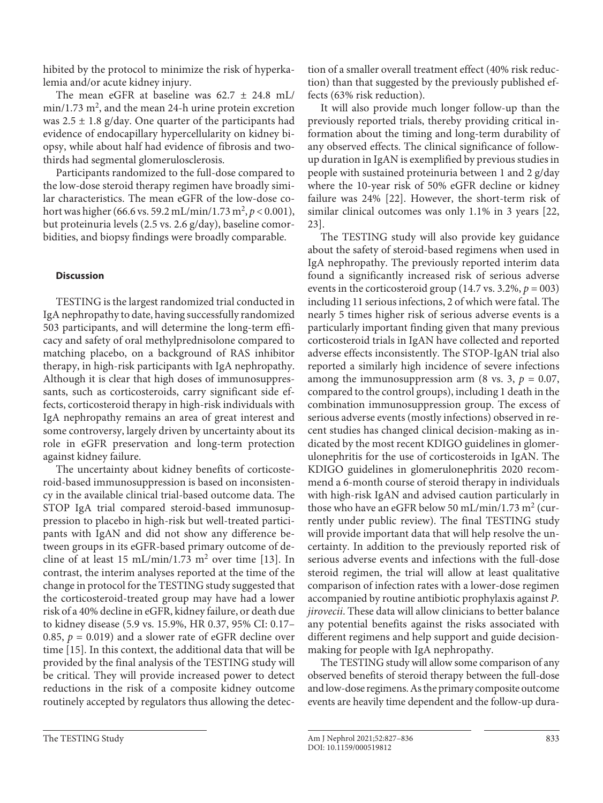hibited by the protocol to minimize the risk of hyperkalemia and/or acute kidney injury.

The mean eGFR at baseline was  $62.7 \pm 24.8$  mL/  $min/1.73$   $m^2$ , and the mean 24-h urine protein excretion was  $2.5 \pm 1.8$  g/day. One quarter of the participants had evidence of endocapillary hypercellularity on kidney biopsy, while about half had evidence of fibrosis and twothirds had segmental glomerulosclerosis.

Participants randomized to the full-dose compared to the low-dose steroid therapy regimen have broadly similar characteristics. The mean eGFR of the low-dose cohort was higher (66.6 vs. 59.2 mL/min/1.73 m<sup>2</sup>, p < 0.001), but proteinuria levels (2.5 vs. 2.6 g/day), baseline comorbidities, and biopsy findings were broadly comparable.

# **Discussion**

TESTING is the largest randomized trial conducted in IgA nephropathy to date, having successfully randomized 503 participants, and will determine the long-term efficacy and safety of oral methylprednisolone compared to matching placebo, on a background of RAS inhibitor therapy, in high-risk participants with IgA nephropathy. Although it is clear that high doses of immunosuppressants, such as corticosteroids, carry significant side effects, corticosteroid therapy in high-risk individuals with IgA nephropathy remains an area of great interest and some controversy, largely driven by uncertainty about its role in eGFR preservation and long-term protection against kidney failure.

The uncertainty about kidney benefits of corticosteroid-based immunosuppression is based on inconsistency in the available clinical trial-based outcome data. The STOP IgA trial compared steroid-based immunosuppression to placebo in high-risk but well-treated participants with IgAN and did not show any difference between groups in its eGFR-based primary outcome of de-cline of at least [1](#page-10-0)5 mL/min/1.7[3](#page-10-2)  $m^2$  over time [13]. In contrast, the interim analyses reported at the time of the change in protocol for the TESTING study suggested that the corticosteroid-treated group may have had a lower risk of a 40% decline in eGFR, kidney failure, or death due to kidney disease (5.9 vs. 15.9%, HR 0.37, 95% CI: 0.17– 0.85,  $p = 0.019$ ) and a slower rate of eGFR decline over time [[1](#page-10-0)[5](#page-10-4)]. In this context, the additional data that will be provided by the final analysis of the TESTING study will be critical. They will provide increased power to detect reductions in the risk of a composite kidney outcome routinely accepted by regulators thus allowing the detection of a smaller overall treatment effect (40% risk reduction) than that suggested by the previously published effects (63% risk reduction).

It will also provide much longer follow-up than the previously reported trials, thereby providing critical information about the timing and long-term durability of any observed effects. The clinical significance of followup duration in IgAN is exemplified by previous studies in people with sustained proteinuria between 1 and 2 g/day where the 10-year risk of 50% eGFR decline or kidney failure was 24% [\[22\]](#page-10-1). However, the short-term risk of similar clinical outcomes was only 1.1% in 3 years [[22](#page-10-1), [2](#page-10-1)[3\]](#page-10-2).

The TESTING study will also provide key guidance about the safety of steroid-based regimens when used in IgA nephropathy. The previously reported interim data found a significantly increased risk of serious adverse events in the corticosteroid group  $(14.7 \text{ vs. } 3.2\%, p = 003)$ including 11 serious infections, 2 of which were fatal. The nearly 5 times higher risk of serious adverse events is a particularly important finding given that many previous corticosteroid trials in IgAN have collected and reported adverse effects inconsistently. The STOP-IgAN trial also reported a similarly high incidence of severe infections among the immunosuppression arm (8 vs. 3,  $p = 0.07$ , compared to the control groups), including 1 death in the combination immunosuppression group. The excess of serious adverse events (mostly infections) observed in recent studies has changed clinical decision-making as indicated by the most recent KDIGO guidelines in glomerulonephritis for the use of corticosteroids in IgAN. The KDIGO guidelines in glomerulonephritis 2020 recommend a 6-month course of steroid therapy in individuals with high-risk IgAN and advised caution particularly in those who have an eGFR below 50 mL/min/1.73 m<sup>2</sup> (currently under public review). The final TESTING study will provide important data that will help resolve the uncertainty. In addition to the previously reported risk of serious adverse events and infections with the full-dose steroid regimen, the trial will allow at least qualitative comparison of infection rates with a lower-dose regimen accompanied by routine antibiotic prophylaxis against *P. jirovecii*. These data will allow clinicians to better balance any potential benefits against the risks associated with different regimens and help support and guide decisionmaking for people with IgA nephropathy.

The TESTING study will allow some comparison of any observed benefits of steroid therapy between the full-dose and low-dose regimens. As the primary composite outcome events are heavily time dependent and the follow-up dura-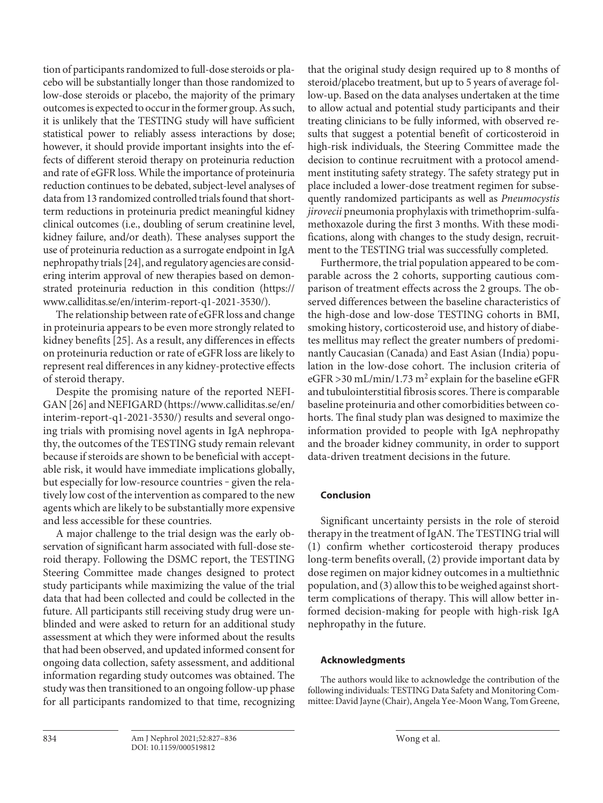tion of participants randomized to full-dose steroids or placebo will be substantially longer than those randomized to low-dose steroids or placebo, the majority of the primary outcomes is expected to occur in the former group. As such, it is unlikely that the TESTING study will have sufficient statistical power to reliably assess interactions by dose; however, it should provide important insights into the effects of different steroid therapy on proteinuria reduction and rate of eGFR loss. While the importance of proteinuria reduction continues to be debated, subject-level analyses of data from 13 randomized controlled trials found that shortterm reductions in proteinuria predict meaningful kidney clinical outcomes (i.e., doubling of serum creatinine level, kidney failure, and/or death). These analyses support the use of proteinuria reduction as a surrogate endpoint in IgA nephropathy trials [[2](#page-10-1)[4\]](#page-10-3), and regulatory agencies are considering interim approval of new therapies based on demonstrated proteinuria reduction in this condition (https:// www.calliditas.se/en/interim-report-q1-2021-3530/).

The relationship between rate of eGFR loss and change in proteinuria appears to be even more strongly related to kidney benefits [\[2](#page-10-1)[5\]](#page-10-4). As a result, any differences in effects on proteinuria reduction or rate of eGFR loss are likely to represent real differences in any kidney-protective effects of steroid therapy.

Despite the promising nature of the reported NEFI-GAN [[2](#page-10-1)[6](#page-10-5)] and NEFIGARD (https://www.calliditas.se/en/ interim-report-q1-2021-3530/) results and several ongoing trials with promising novel agents in IgA nephropathy, the outcomes of the TESTING study remain relevant because if steroids are shown to be beneficial with acceptable risk, it would have immediate implications globally, but especially for low-resource countries - given the relatively low cost of the intervention as compared to the new agents which are likely to be substantially more expensive and less accessible for these countries.

A major challenge to the trial design was the early observation of significant harm associated with full-dose steroid therapy. Following the DSMC report, the TESTING Steering Committee made changes designed to protect study participants while maximizing the value of the trial data that had been collected and could be collected in the future. All participants still receiving study drug were unblinded and were asked to return for an additional study assessment at which they were informed about the results that had been observed, and updated informed consent for ongoing data collection, safety assessment, and additional information regarding study outcomes was obtained. The study was then transitioned to an ongoing follow-up phase for all participants randomized to that time, recognizing

that the original study design required up to 8 months of steroid/placebo treatment, but up to 5 years of average follow-up. Based on the data analyses undertaken at the time to allow actual and potential study participants and their treating clinicians to be fully informed, with observed results that suggest a potential benefit of corticosteroid in high-risk individuals, the Steering Committee made the decision to continue recruitment with a protocol amendment instituting safety strategy. The safety strategy put in place included a lower-dose treatment regimen for subsequently randomized participants as well as *Pneumocystis jirovecii* pneumonia prophylaxis with trimethoprim-sulfamethoxazole during the first 3 months. With these modifications, along with changes to the study design, recruitment to the TESTING trial was successfully completed.

Furthermore, the trial population appeared to be comparable across the 2 cohorts, supporting cautious comparison of treatment effects across the 2 groups. The observed differences between the baseline characteristics of the high-dose and low-dose TESTING cohorts in BMI, smoking history, corticosteroid use, and history of diabetes mellitus may reflect the greater numbers of predominantly Caucasian (Canada) and East Asian (India) population in the low-dose cohort. The inclusion criteria of eGFR > 30 mL/min/1.73 m<sup>2</sup> explain for the baseline eGFR and tubulointerstitial fibrosis scores. There is comparable baseline proteinuria and other comorbidities between cohorts. The final study plan was designed to maximize the information provided to people with IgA nephropathy and the broader kidney community, in order to support data-driven treatment decisions in the future.

# **Conclusion**

Significant uncertainty persists in the role of steroid therapy in the treatment of IgAN. The TESTING trial will (1) confirm whether corticosteroid therapy produces long-term benefits overall, (2) provide important data by dose regimen on major kidney outcomes in a multiethnic population, and (3) allow this to be weighed against shortterm complications of therapy. This will allow better informed decision-making for people with high-risk IgA nephropathy in the future.

# **Acknowledgments**

The authors would like to acknowledge the contribution of the following individuals: TESTING Data Safety and Monitoring Committee: David Jayne (Chair), Angela Yee-Moon Wang, Tom Greene,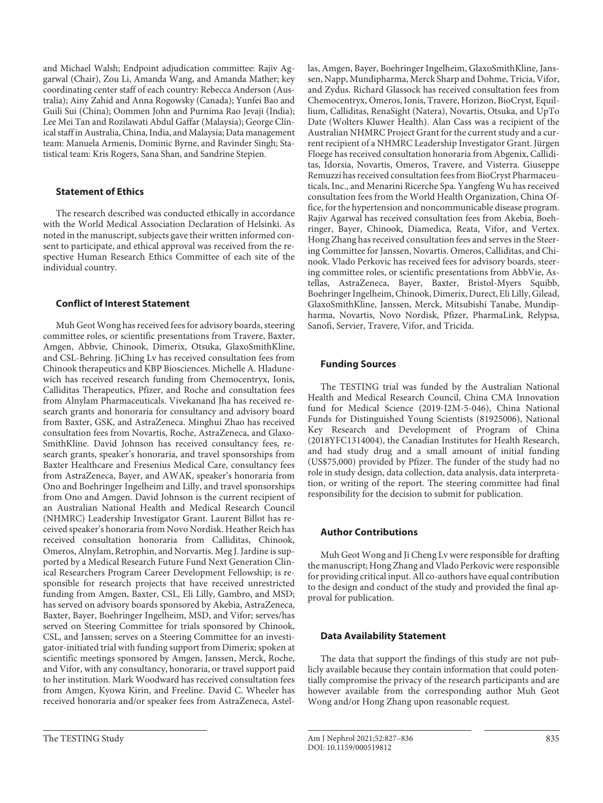and Michael Walsh; Endpoint adjudication committee: Rajiv Aggarwal (Chair), Zou Li, Amanda Wang, and Amanda Mather; key coordinating center staff of each country: Rebecca Anderson (Australia); Ainy Zahid and Anna Rogowsky (Canada); Yunfei Bao and Guili Sui (China); Oommen John and Purnima Rao Jevaji (India); Lee Mei Tan and Rozilawati Abdul Gaffar (Malaysia); George Clinical staff in Australia, China, India, and Malaysia; Data management team: Manuela Armenis, Dominic Byrne, and Ravinder Singh; Statistical team: Kris Rogers, Sana Shan, and Sandrine Stepien.

#### **Statement of Ethics**

The research described was conducted ethically in accordance with the World Medical Association Declaration of Helsinki. As noted in the manuscript, subjects gave their written informed consent to participate, and ethical approval was received from the respective Human Research Ethics Committee of each site of the individual country.

# **Conflict of Interest Statement**

Muh Geot Wong has received fees for advisory boards, steering committee roles, or scientific presentations from Travere, Baxter, Amgen, Abbvie, Chinook, Dimerix, Otsuka, GlaxoSmithKline, and CSL-Behring. JiChing Lv has received consultation fees from Chinook therapeutics and KBP Biosciences. Michelle A. Hladunewich has received research funding from Chemocentryx, Ionis, Calliditas Therapeutics, Pfizer, and Roche and consultation fees from Alnylam Pharmaceuticals. Vivekanand Jha has received research grants and honoraria for consultancy and advisory board from Baxter, GSK, and AstraZeneca. Minghui Zhao has received consultation fees from Novartis, Roche, AstraZeneca, and Glaxo-SmithKline. David Johnson has received consultancy fees, research grants, speaker's honoraria, and travel sponsorships from Baxter Healthcare and Fresenius Medical Care, consultancy fees from AstraZeneca, Bayer, and AWAK, speaker's honoraria from Ono and Boehringer Ingelheim and Lilly, and travel sponsorships from Ono and Amgen. David Johnson is the current recipient of an Australian National Health and Medical Research Council (NHMRC) Leadership Investigator Grant. Laurent Billot has received speaker's honoraria from Novo Nordisk. Heather Reich has received consultation honoraria from Calliditas, Chinook, Omeros, Alnylam, Retrophin, and Norvartis. Meg J. Jardine is supported by a Medical Research Future Fund Next Generation Clinical Researchers Program Career Development Fellowship; is responsible for research projects that have received unrestricted funding from Amgen, Baxter, CSL, Eli Lilly, Gambro, and MSD; has served on advisory boards sponsored by Akebia, AstraZeneca, Baxter, Bayer, Boehringer Ingelheim, MSD, and Vifor; serves/has served on Steering Committee for trials sponsored by Chinook, CSL, and Janssen; serves on a Steering Committee for an investigator-initiated trial with funding support from Dimerix; spoken at scientific meetings sponsored by Amgen, Janssen, Merck, Roche, and Vifor, with any consultancy, honoraria, or travel support paid to her institution. Mark Woodward has received consultation fees from Amgen, Kyowa Kirin, and Freeline. David C. Wheeler has received honoraria and/or speaker fees from AstraZeneca, Astellas, Amgen, Bayer, Boehringer Ingelheim, GlaxoSmithKline, Janssen, Napp, Mundipharma, Merck Sharp and Dohme, Tricia, Vifor, and Zydus. Richard Glassock has received consultation fees from Chemocentryx, Omeros, Ionis, Travere, Horizon, BioCryst, Equillium, Calliditas, RenaSight (Natera), Novartis, Otsuka, and UpTo Date (Wolters Kluwer Health). Alan Cass was a recipient of the Australian NHMRC Project Grant for the current study and a current recipient of a NHMRC Leadership Investigator Grant. Jürgen Floege has received consultation honoraria from Abgenix, Calliditas, Idorsia, Novartis, Omeros, Travere, and Visterra. Giuseppe Remuzzi has received consultation fees from BioCryst Pharmaceuticals, Inc., and Menarini Ricerche Spa. Yangfeng Wu has received consultation fees from the World Health Organization, China Office, for the hypertension and noncommunicable disease program. Rajiv Agarwal has received consultation fees from Akebia, Boehringer, Bayer, Chinook, Diamedica, Reata, Vifor, and Vertex. Hong Zhang has received consultation fees and serves in the Steering Committee for Janssen, Novartis. Omeros, Calliditas, and Chinook. Vlado Perkovic has received fees for advisory boards, steering committee roles, or scientific presentations from AbbVie, Astellas, AstraZeneca, Bayer, Baxter, Bristol-Myers Squibb, Boehringer Ingelheim, Chinook, Dimerix, Durect, Eli Lilly, Gilead, GlaxoSmithKline, Janssen, Merck, Mitsubishi Tanabe, Mundipharma, Novartis, Novo Nordisk, Pfizer, PharmaLink, Relypsa, Sanofi, Servier, Travere, Vifor, and Tricida.

# **Funding Sources**

The TESTING trial was funded by the Australian National Health and Medical Research Council, China CMA Innovation fund for Medical Science (2019-I2M-5-046), China National Funds for Distinguished Young Scientists (81925006), National Key Research and Development of Program of China (2018YFC1314004), the Canadian Institutes for Health Research, and had study drug and a small amount of initial funding (US\$75,000) provided by Pfizer. The funder of the study had no role in study design, data collection, data analysis, data interpretation, or writing of the report. The steering committee had final responsibility for the decision to submit for publication.

#### **Author Contributions**

Muh Geot Wong and Ji Cheng Lv were responsible for drafting the manuscript; Hong Zhang and Vlado Perkovic were responsible for providing critical input. All co-authors have equal contribution to the design and conduct of the study and provided the final approval for publication.

#### **Data Availability Statement**

The data that support the findings of this study are not publicly available because they contain information that could potentially compromise the privacy of the research participants and are however available from the corresponding author Muh Geot Wong and/or Hong Zhang upon reasonable request.